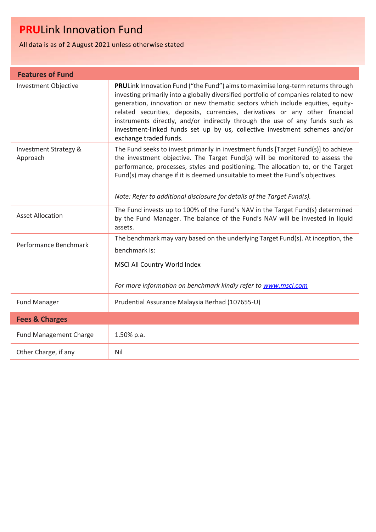All data is as of 2 August 2021 unless otherwise stated

| <b>Features of Fund</b>           |                                                                                                                                                                                                                                                                                                                                                                                                                                                                                                                                            |  |
|-----------------------------------|--------------------------------------------------------------------------------------------------------------------------------------------------------------------------------------------------------------------------------------------------------------------------------------------------------------------------------------------------------------------------------------------------------------------------------------------------------------------------------------------------------------------------------------------|--|
| <b>Investment Objective</b>       | <b>PRU</b> Link Innovation Fund ("the Fund") aims to maximise long-term returns through<br>investing primarily into a globally diversified portfolio of companies related to new<br>generation, innovation or new thematic sectors which include equities, equity-<br>related securities, deposits, currencies, derivatives or any other financial<br>instruments directly, and/or indirectly through the use of any funds such as<br>investment-linked funds set up by us, collective investment schemes and/or<br>exchange traded funds. |  |
| Investment Strategy &<br>Approach | The Fund seeks to invest primarily in investment funds [Target Fund(s)] to achieve<br>the investment objective. The Target Fund(s) will be monitored to assess the<br>performance, processes, styles and positioning. The allocation to, or the Target<br>Fund(s) may change if it is deemed unsuitable to meet the Fund's objectives.<br>Note: Refer to additional disclosure for details of the Target Fund(s).                                                                                                                          |  |
| <b>Asset Allocation</b>           | The Fund invests up to 100% of the Fund's NAV in the Target Fund(s) determined<br>by the Fund Manager. The balance of the Fund's NAV will be invested in liquid<br>assets.                                                                                                                                                                                                                                                                                                                                                                 |  |
| Performance Benchmark             | The benchmark may vary based on the underlying Target Fund(s). At inception, the<br>benchmark is:<br>MSCI All Country World Index<br>For more information on benchmark kindly refer to www.msci.com                                                                                                                                                                                                                                                                                                                                        |  |
| <b>Fund Manager</b>               | Prudential Assurance Malaysia Berhad (107655-U)                                                                                                                                                                                                                                                                                                                                                                                                                                                                                            |  |
| <b>Fees &amp; Charges</b>         |                                                                                                                                                                                                                                                                                                                                                                                                                                                                                                                                            |  |
| <b>Fund Management Charge</b>     | 1.50% p.a.                                                                                                                                                                                                                                                                                                                                                                                                                                                                                                                                 |  |
| Other Charge, if any              | Nil                                                                                                                                                                                                                                                                                                                                                                                                                                                                                                                                        |  |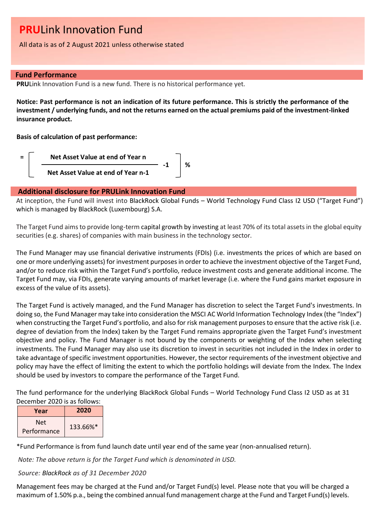All data is as of 2 August 2021 unless otherwise stated

## **Fund Performance**

**PRU**Link Innovation Fund is a new fund. There is no historical performance yet.

**Notice: Past performance is not an indication of its future performance. This is strictly the performance of the investment / underlying funds, and not the returns earned on the actual premiums paid of the investment-linked insurance product.**

**Basis of calculation of past performance:**



## **Additional disclosure for PRULink Innovation Fund**

At inception, the Fund will invest into BlackRock Global Funds – World Technology Fund Class I2 USD ("Target Fund") which is managed by BlackRock (Luxembourg) S.A.

The Target Fund aims to provide long-term capital growth by investing at least 70% of its total assets in the global equity securities (e.g. shares) of companies with main business in the technology sector.

The Fund Manager may use financial derivative instruments (FDIs) (i.e. investments the prices of which are based on one or more underlying assets) for investment purposes in order to achieve the investment objective of the Target Fund, and/or to reduce risk within the Target Fund's portfolio, reduce investment costs and generate additional income. The Target Fund may, via FDIs, generate varying amounts of market leverage (i.e. where the Fund gains market exposure in excess of the value of its assets).

The Target Fund is actively managed, and the Fund Manager has discretion to select the Target Fund's investments. In doing so, the Fund Manager may take into consideration the MSCI AC World Information Technology Index (the "Index") when constructing the Target Fund's portfolio, and also for risk management purposes to ensure that the active risk (i.e. degree of deviation from the Index) taken by the Target Fund remains appropriate given the Target Fund's investment objective and policy. The Fund Manager is not bound by the components or weighting of the Index when selecting investments. The Fund Manager may also use its discretion to invest in securities not included in the Index in order to take advantage of specific investment opportunities. However, the sector requirements of the investment objective and policy may have the effect of limiting the extent to which the portfolio holdings will deviate from the Index. The Index should be used by investors to compare the performance of the Target Fund.

The fund performance for the underlying BlackRock Global Funds – World Technology Fund Class I2 USD as at 31 December 2020 is as follows:

| Year               | 2020     |
|--------------------|----------|
| Net<br>Performance | 133.66%* |

\*Fund Performance is from fund launch date until year end of the same year (non-annualised return).

*Note: The above return is for the Target Fund which is denominated in USD.*

*Source: BlackRock as of 31 December 2020*

Management fees may be charged at the Fund and/or Target Fund(s) level. Please note that you will be charged a maximum of 1.50% p.a., being the combined annual fund management charge at the Fund and Target Fund(s) levels.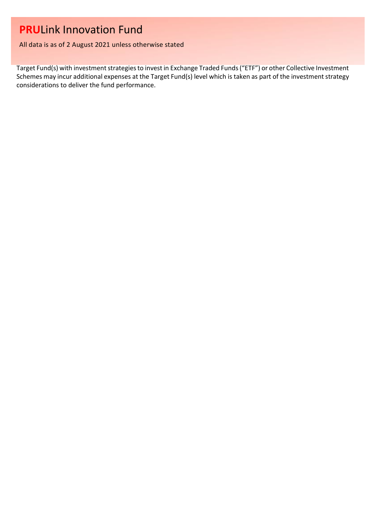All data is as of 2 August 2021 unless otherwise stated

Target Fund(s) with investment strategies to invest in Exchange Traded Funds ("ETF") or other Collective Investment Schemes may incur additional expenses at the Target Fund(s) level which is taken as part of the investment strategy considerations to deliver the fund performance.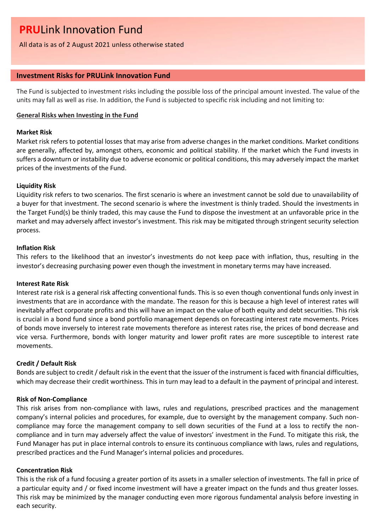All data is as of 2 August 2021 unless otherwise stated

## **Investment Risks for PRULink Innovation Fund**

The Fund is subjected to investment risks including the possible loss of the principal amount invested. The value of the units may fall as well as rise. In addition, the Fund is subjected to specific risk including and not limiting to:

### **General Risks when Investing in the Fund**

### **Market Risk**

Market risk refers to potential losses that may arise from adverse changes in the market conditions. Market conditions are generally, affected by, amongst others, economic and political stability. If the market which the Fund invests in suffers a downturn or instability due to adverse economic or political conditions, this may adversely impact the market prices of the investments of the Fund.

### **Liquidity Risk**

Liquidity risk refers to two scenarios. The first scenario is where an investment cannot be sold due to unavailability of a buyer for that investment. The second scenario is where the investment is thinly traded. Should the investments in the Target Fund(s) be thinly traded, this may cause the Fund to dispose the investment at an unfavorable price in the market and may adversely affect investor's investment. This risk may be mitigated through stringent security selection process.

## **Inflation Risk**

This refers to the likelihood that an investor's investments do not keep pace with inflation, thus, resulting in the investor's decreasing purchasing power even though the investment in monetary terms may have increased.

#### **Interest Rate Risk**

Interest rate risk is a general risk affecting conventional funds. This is so even though conventional funds only invest in investments that are in accordance with the mandate. The reason for this is because a high level of interest rates will inevitably affect corporate profits and this will have an impact on the value of both equity and debt securities. This risk is crucial in a bond fund since a bond portfolio management depends on forecasting interest rate movements. Prices of bonds move inversely to interest rate movements therefore as interest rates rise, the prices of bond decrease and vice versa. Furthermore, bonds with longer maturity and lower profit rates are more susceptible to interest rate movements.

## **Credit / Default Risk**

Bonds are subject to credit / default risk in the event that the issuer of the instrument is faced with financial difficulties, which may decrease their credit worthiness. This in turn may lead to a default in the payment of principal and interest.

### **Risk of Non-Compliance**

This risk arises from non-compliance with laws, rules and regulations, prescribed practices and the management company's internal policies and procedures, for example, due to oversight by the management company. Such noncompliance may force the management company to sell down securities of the Fund at a loss to rectify the noncompliance and in turn may adversely affect the value of investors' investment in the Fund. To mitigate this risk, the Fund Manager has put in place internal controls to ensure its continuous compliance with laws, rules and regulations, prescribed practices and the Fund Manager's internal policies and procedures.

## **Concentration Risk**

This is the risk of a fund focusing a greater portion of its assets in a smaller selection of investments. The fall in price of a particular equity and / or fixed income investment will have a greater impact on the funds and thus greater losses. This risk may be minimized by the manager conducting even more rigorous fundamental analysis before investing in each security.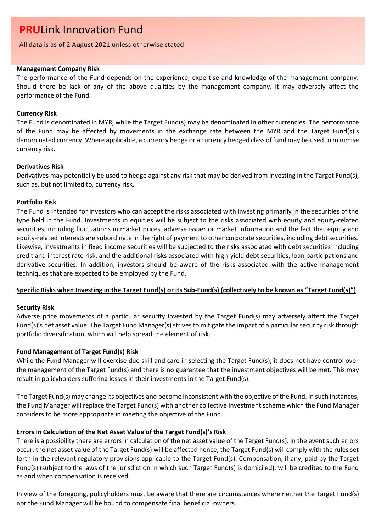## All data is as of 2 August 2021 unless otherwise stated

## **Management Company Risk**

The performance of the Fund depends on the experience, expertise and knowledge of the management company. Should there be lack of any of the above qualities by the management company, it may adversely affect the performance of the Fund.

## **Currency Risk**

The Fund is denominated in MYR, while the Target Fund(s) may be denominated in other currencies. The performance of the Fund may be affected by movements in the exchange rate between the MYR and the Target Fund(s)'s denominated currency. Where applicable, a currency hedge or a currency hedged class of fund may be used to minimise currency risk.

## **Derivatives Risk**

Derivatives may potentially be used to hedge against any risk that may be derived from investing in the Target Fund(s), such as, but not limited to, currency risk.

## **Portfolio Risk**

The Fund is intended for investors who can accept the risks associated with investing primarily in the securities of the type held in the Fund. Investments in equities will be subject to the risks associated with equity and equity-related securities, including fluctuations in market prices, adverse issuer or market information and the fact that equity and equity-related interests are subordinate in the right of payment to other corporate securities, including debt securities. Likewise, investments in fixed income securities will be subjected to the risks associated with debt securities including credit and interest rate risk, and the additional risks associated with high-yield debt securities, loan participations and derivative securities. In addition, investors should be aware of the risks associated with the active management techniques that are expected to be employed by the Fund.

## **Specific Risks when Investing in the Target Fund(s) or its Sub-Fund(s) (collectively to be known as "Target Fund(s)")**

## **Security Risk**

Adverse price movements of a particular security invested by the Target Fund(s) may adversely affect the Target Fund(s)'s net asset value. The Target Fund Manager(s) strives to mitigate the impact of a particular security risk through portfolio diversification, which will help spread the element of risk.

## **Fund Management of Target Fund(s) Risk**

While the Fund Manager will exercise due skill and care in selecting the Target Fund(s), it does not have control over the management of the Target Fund(s) and there is no guarantee that the investment objectives will be met. This may result in policyholders suffering losses in their investments in the Target Fund(s).

The Target Fund(s) may change its objectives and become inconsistent with the objective of the Fund. In such instances, the Fund Manager will replace the Target Fund(s) with another collective investment scheme which the Fund Manager considers to be more appropriate in meeting the objective of the Fund.

## **Errors in Calculation of the Net Asset Value of the Target Fund(s)'s Risk**

There is a possibility there are errors in calculation of the net asset value of the Target Fund(s). In the event such errors occur, the net asset value of the Target Fund(s) will be affected hence, the Target Fund(s) will comply with the rules set forth in the relevant regulatory provisions applicable to the Target Fund(s). Compensation, if any, paid by the Target Fund(s) (subject to the laws of the jurisdiction in which such Target Fund(s) is domiciled), will be credited to the Fund as and when compensation is received.

In view of the foregoing, policyholders must be aware that there are circumstances where neither the Target Fund(s) nor the Fund Manager will be bound to compensate final beneficial owners.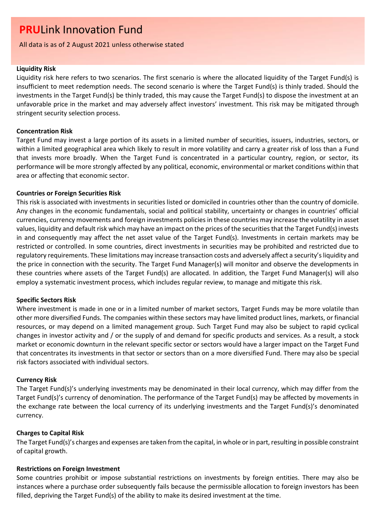All data is as of 2 August 2021 unless otherwise stated

## **Liquidity Risk**

Liquidity risk here refers to two scenarios. The first scenario is where the allocated liquidity of the Target Fund(s) is insufficient to meet redemption needs. The second scenario is where the Target Fund(s) is thinly traded. Should the investments in the Target Fund(s) be thinly traded, this may cause the Target Fund(s) to dispose the investment at an unfavorable price in the market and may adversely affect investors' investment. This risk may be mitigated through stringent security selection process.

### **Concentration Risk**

Target Fund may invest a large portion of its assets in a limited number of securities, issuers, industries, sectors, or within a limited geographical area which likely to result in more volatility and carry a greater risk of loss than a Fund that invests more broadly. When the Target Fund is concentrated in a particular country, region, or sector, its performance will be more strongly affected by any political, economic, environmental or market conditions within that area or affecting that economic sector.

### **Countries or Foreign Securities Risk**

This risk is associated with investments in securities listed or domiciled in countries other than the country of domicile. Any changes in the economic fundamentals, social and political stability, uncertainty or changes in countries' official currencies, currency movements and foreign investments policies in these countries may increase the volatility in asset values, liquidity and default risk which may have an impact on the prices of the securities that the Target Fund(s) invests in and consequently may affect the net asset value of the Target Fund(s). Investments in certain markets may be restricted or controlled. In some countries, direct investments in securities may be prohibited and restricted due to regulatory requirements. These limitations may increase transaction costs and adversely affect a security's liquidity and the price in connection with the security. The Target Fund Manager(s) will monitor and observe the developments in these countries where assets of the Target Fund(s) are allocated. In addition, the Target Fund Manager(s) will also employ a systematic investment process, which includes regular review, to manage and mitigate this risk.

#### **Specific Sectors Risk**

Where investment is made in one or in a limited number of market sectors, Target Funds may be more volatile than other more diversified Funds. The companies within these sectors may have limited product lines, markets, or financial resources, or may depend on a limited management group. Such Target Fund may also be subject to rapid cyclical changes in investor activity and / or the supply of and demand for specific products and services. As a result, a stock market or economic downturn in the relevant specific sector or sectors would have a larger impact on the Target Fund that concentrates its investments in that sector or sectors than on a more diversified Fund. There may also be special risk factors associated with individual sectors.

## **Currency Risk**

The Target Fund(s)'s underlying investments may be denominated in their local currency, which may differ from the Target Fund(s)'s currency of denomination. The performance of the Target Fund(s) may be affected by movements in the exchange rate between the local currency of its underlying investments and the Target Fund(s)'s denominated currency.

#### **Charges to Capital Risk**

The Target Fund(s)'s charges and expenses are taken from the capital, in whole or in part, resulting in possible constraint of capital growth.

#### **Restrictions on Foreign Investment**

Some countries prohibit or impose substantial restrictions on investments by foreign entities. There may also be instances where a purchase order subsequently fails because the permissible allocation to foreign investors has been filled, depriving the Target Fund(s) of the ability to make its desired investment at the time.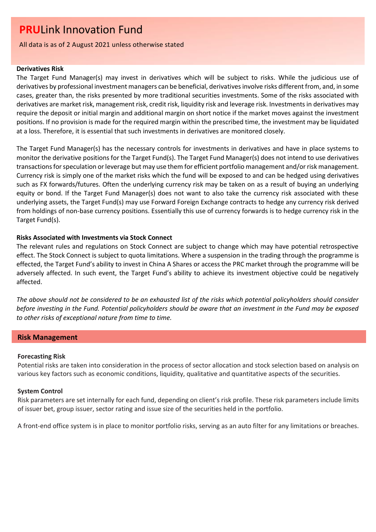All data is as of 2 August 2021 unless otherwise stated

### **Derivatives Risk**

The Target Fund Manager(s) may invest in derivatives which will be subject to risks. While the judicious use of derivatives by professional investment managers can be beneficial, derivatives involve risks different from, and, in some cases, greater than, the risks presented by more traditional securities investments. Some of the risks associated with derivatives are market risk, management risk, credit risk, liquidity risk and leverage risk. Investments in derivatives may require the deposit or initial margin and additional margin on short notice if the market moves against the investment positions. If no provision is made for the required margin within the prescribed time, the investment may be liquidated at a loss. Therefore, it is essential that such investments in derivatives are monitored closely.

The Target Fund Manager(s) has the necessary controls for investments in derivatives and have in place systems to monitor the derivative positions for the Target Fund(s). The Target Fund Manager(s) does not intend to use derivatives transactions for speculation or leverage but may use them for efficient portfolio management and/or risk management. Currency risk is simply one of the market risks which the fund will be exposed to and can be hedged using derivatives such as FX forwards/futures. Often the underlying currency risk may be taken on as a result of buying an underlying equity or bond. If the Target Fund Manager(s) does not want to also take the currency risk associated with these underlying assets, the Target Fund(s) may use Forward Foreign Exchange contracts to hedge any currency risk derived from holdings of non-base currency positions. Essentially this use of currency forwards is to hedge currency risk in the Target Fund(s).

## **Risks Associated with Investments via Stock Connect**

The relevant rules and regulations on Stock Connect are subject to change which may have potential retrospective effect. The Stock Connect is subject to quota limitations. Where a suspension in the trading through the programme is effected, the Target Fund's ability to invest in China A Shares or access the PRC market through the programme will be adversely affected. In such event, the Target Fund's ability to achieve its investment objective could be negatively affected.

*The above should not be considered to be an exhausted list of the risks which potential policyholders should consider before investing in the Fund. Potential policyholders should be aware that an investment in the Fund may be exposed to other risks of exceptional nature from time to time.*

## **Risk Management**

## **Forecasting Risk**

Potential risks are taken into consideration in the process of sector allocation and stock selection based on analysis on various key factors such as economic conditions, liquidity, qualitative and quantitative aspects of the securities.

## **System Control**

Risk parameters are set internally for each fund, depending on client's risk profile. These risk parameters include limits of issuer bet, group issuer, sector rating and issue size of the securities held in the portfolio.

A front-end office system is in place to monitor portfolio risks, serving as an auto filter for any limitations or breaches.